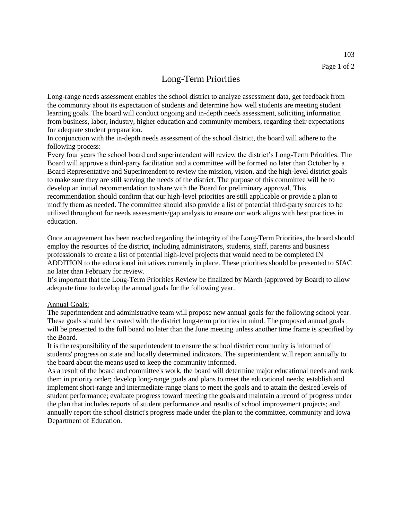## Long-Term Priorities

Long-range needs assessment enables the school district to analyze assessment data, get feedback from the community about its expectation of students and determine how well students are meeting student learning goals. The board will conduct ongoing and in-depth needs assessment, soliciting information from business, labor, industry, higher education and community members, regarding their expectations for adequate student preparation.

In conjunction with the in-depth needs assessment of the school district, the board will adhere to the following process:

Every four years the school board and superintendent will review the district's Long-Term Priorities. The Board will approve a third-party facilitation and a committee will be formed no later than October by a Board Representative and Superintendent to review the mission, vision, and the high-level district goals to make sure they are still serving the needs of the district. The purpose of this committee will be to develop an initial recommendation to share with the Board for preliminary approval. This recommendation should confirm that our high-level priorities are still applicable or provide a plan to modify them as needed. The committee should also provide a list of potential third-party sources to be utilized throughout for needs assessments/gap analysis to ensure our work aligns with best practices in education.

Once an agreement has been reached regarding the integrity of the Long-Term Priorities, the board should employ the resources of the district, including administrators, students, staff, parents and business professionals to create a list of potential high-level projects that would need to be completed IN ADDITION to the educational initiatives currently in place. These priorities should be presented to SIAC no later than February for review.

It's important that the Long-Term Priorities Review be finalized by March (approved by Board) to allow adequate time to develop the annual goals for the following year.

## Annual Goals:

The superintendent and administrative team will propose new annual goals for the following school year. These goals should be created with the district long-term priorities in mind. The proposed annual goals will be presented to the full board no later than the June meeting unless another time frame is specified by the Board.

It is the responsibility of the superintendent to ensure the school district community is informed of students' progress on state and locally determined indicators. The superintendent will report annually to the board about the means used to keep the community informed.

As a result of the board and committee's work, the board will determine major educational needs and rank them in priority order; develop long-range goals and plans to meet the educational needs; establish and implement short-range and intermediate-range plans to meet the goals and to attain the desired levels of student performance; evaluate progress toward meeting the goals and maintain a record of progress under the plan that includes reports of student performance and results of school improvement projects; and annually report the school district's progress made under the plan to the committee, community and Iowa Department of Education.